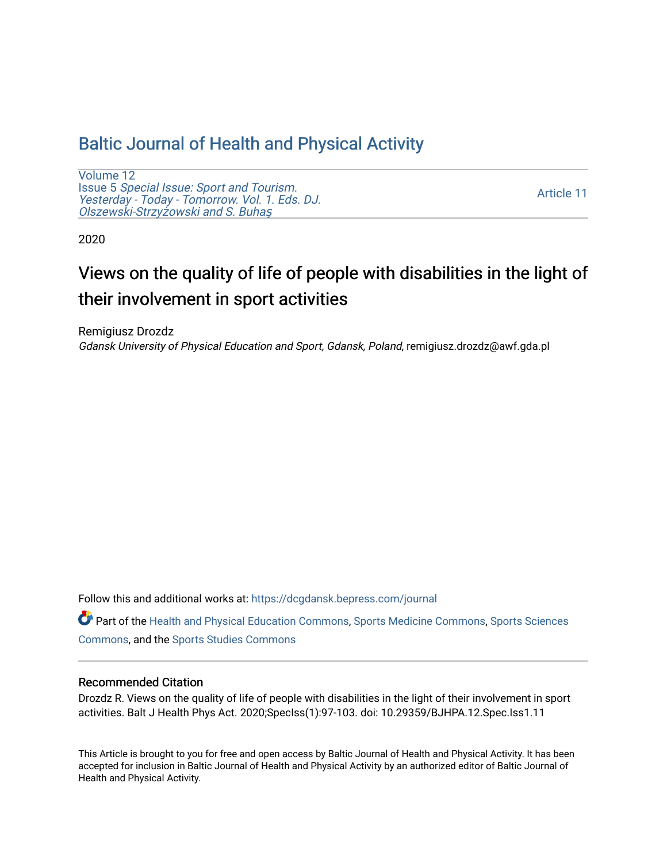# [Baltic Journal of Health and Physical Activity](https://dcgdansk.bepress.com/journal)

[Volume 12](https://dcgdansk.bepress.com/journal/vol12) Issue 5 [Special Issue: Sport and Tourism.](https://dcgdansk.bepress.com/journal/vol12/iss5)  [Yesterday - Today - Tomorrow. Vol. 1. Eds. DJ.](https://dcgdansk.bepress.com/journal/vol12/iss5)  [Olszewski-Strzy](https://dcgdansk.bepress.com/journal/vol12/iss5)żowski and S. Buhaş

[Article 11](https://dcgdansk.bepress.com/journal/vol12/iss5/11) 

2020

# Views on the quality of life of people with disabilities in the light of their involvement in sport activities

Remigiusz Drozdz Gdansk University of Physical Education and Sport, Gdansk, Poland, remigiusz.drozdz@awf.gda.pl

Follow this and additional works at: [https://dcgdansk.bepress.com/journal](https://dcgdansk.bepress.com/journal?utm_source=dcgdansk.bepress.com%2Fjournal%2Fvol12%2Fiss5%2F11&utm_medium=PDF&utm_campaign=PDFCoverPages)

Part of the [Health and Physical Education Commons](http://network.bepress.com/hgg/discipline/1327?utm_source=dcgdansk.bepress.com%2Fjournal%2Fvol12%2Fiss5%2F11&utm_medium=PDF&utm_campaign=PDFCoverPages), [Sports Medicine Commons,](http://network.bepress.com/hgg/discipline/1331?utm_source=dcgdansk.bepress.com%2Fjournal%2Fvol12%2Fiss5%2F11&utm_medium=PDF&utm_campaign=PDFCoverPages) [Sports Sciences](http://network.bepress.com/hgg/discipline/759?utm_source=dcgdansk.bepress.com%2Fjournal%2Fvol12%2Fiss5%2F11&utm_medium=PDF&utm_campaign=PDFCoverPages) [Commons](http://network.bepress.com/hgg/discipline/759?utm_source=dcgdansk.bepress.com%2Fjournal%2Fvol12%2Fiss5%2F11&utm_medium=PDF&utm_campaign=PDFCoverPages), and the [Sports Studies Commons](http://network.bepress.com/hgg/discipline/1198?utm_source=dcgdansk.bepress.com%2Fjournal%2Fvol12%2Fiss5%2F11&utm_medium=PDF&utm_campaign=PDFCoverPages) 

#### Recommended Citation

Drozdz R. Views on the quality of life of people with disabilities in the light of their involvement in sport activities. Balt J Health Phys Act. 2020;SpecIss(1):97-103. doi: 10.29359/BJHPA.12.Spec.Iss1.11

This Article is brought to you for free and open access by Baltic Journal of Health and Physical Activity. It has been accepted for inclusion in Baltic Journal of Health and Physical Activity by an authorized editor of Baltic Journal of Health and Physical Activity.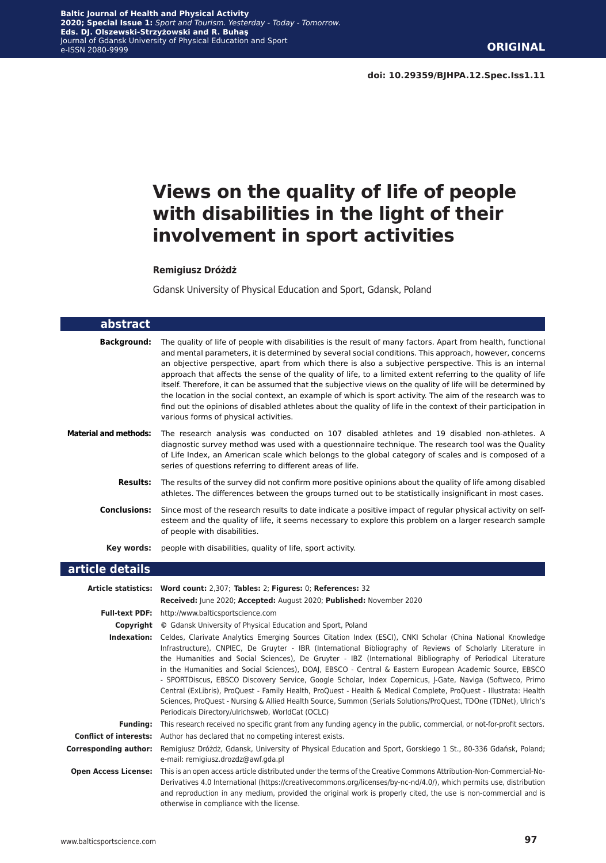# **Views on the quality of life of people with disabilities in the light of their involvement in sport activities**

#### **Remigiusz Dróżdż**

Gdansk University of Physical Education and Sport, Gdansk, Poland

| abstract                      |                                                                                                                                                                                                                                                                                                                                                                                                                                                                                                                                                                                                                                                                                                                                                                                                                                                                           |
|-------------------------------|---------------------------------------------------------------------------------------------------------------------------------------------------------------------------------------------------------------------------------------------------------------------------------------------------------------------------------------------------------------------------------------------------------------------------------------------------------------------------------------------------------------------------------------------------------------------------------------------------------------------------------------------------------------------------------------------------------------------------------------------------------------------------------------------------------------------------------------------------------------------------|
| <b>Background:</b>            | The quality of life of people with disabilities is the result of many factors. Apart from health, functional<br>and mental parameters, it is determined by several social conditions. This approach, however, concerns<br>an objective perspective, apart from which there is also a subjective perspective. This is an internal<br>approach that affects the sense of the quality of life, to a limited extent referring to the quality of life<br>itself. Therefore, it can be assumed that the subjective views on the quality of life will be determined by<br>the location in the social context, an example of which is sport activity. The aim of the research was to<br>find out the opinions of disabled athletes about the quality of life in the context of their participation in<br>various forms of physical activities.                                    |
| <b>Material and methods:</b>  | The research analysis was conducted on 107 disabled athletes and 19 disabled non-athletes. A<br>diagnostic survey method was used with a questionnaire technique. The research tool was the Quality<br>of Life Index, an American scale which belongs to the global category of scales and is composed of a<br>series of questions referring to different areas of life.                                                                                                                                                                                                                                                                                                                                                                                                                                                                                                  |
| <b>Results:</b>               | The results of the survey did not confirm more positive opinions about the quality of life among disabled<br>athletes. The differences between the groups turned out to be statistically insignificant in most cases.                                                                                                                                                                                                                                                                                                                                                                                                                                                                                                                                                                                                                                                     |
| <b>Conclusions:</b>           | Since most of the research results to date indicate a positive impact of regular physical activity on self-<br>esteem and the quality of life, it seems necessary to explore this problem on a larger research sample<br>of people with disabilities.                                                                                                                                                                                                                                                                                                                                                                                                                                                                                                                                                                                                                     |
| Key words:                    | people with disabilities, quality of life, sport activity.                                                                                                                                                                                                                                                                                                                                                                                                                                                                                                                                                                                                                                                                                                                                                                                                                |
|                               |                                                                                                                                                                                                                                                                                                                                                                                                                                                                                                                                                                                                                                                                                                                                                                                                                                                                           |
| article details               |                                                                                                                                                                                                                                                                                                                                                                                                                                                                                                                                                                                                                                                                                                                                                                                                                                                                           |
|                               | Article statistics: Word count: 2,307; Tables: 2; Figures: 0; References: 32<br>Received: June 2020; Accepted: August 2020; Published: November 2020                                                                                                                                                                                                                                                                                                                                                                                                                                                                                                                                                                                                                                                                                                                      |
|                               | Full-text PDF: http://www.balticsportscience.com                                                                                                                                                                                                                                                                                                                                                                                                                                                                                                                                                                                                                                                                                                                                                                                                                          |
|                               | <b>Copyright</b> © Gdansk University of Physical Education and Sport, Poland                                                                                                                                                                                                                                                                                                                                                                                                                                                                                                                                                                                                                                                                                                                                                                                              |
|                               | Indexation: Celdes, Clarivate Analytics Emerging Sources Citation Index (ESCI), CNKI Scholar (China National Knowledge<br>Infrastructure), CNPIEC, De Gruyter - IBR (International Bibliography of Reviews of Scholarly Literature in<br>the Humanities and Social Sciences), De Gruyter - IBZ (International Bibliography of Periodical Literature<br>in the Humanities and Social Sciences), DOAJ, EBSCO - Central & Eastern European Academic Source, EBSCO<br>- SPORTDiscus, EBSCO Discovery Service, Google Scholar, Index Copernicus, J-Gate, Naviga (Softweco, Primo<br>Central (ExLibris), ProQuest - Family Health, ProQuest - Health & Medical Complete, ProQuest - Illustrata: Health<br>Sciences, ProQuest - Nursing & Allied Health Source, Summon (Serials Solutions/ProQuest, TDOne (TDNet), Ulrich's<br>Periodicals Directory/ulrichsweb, WorldCat (OCLC) |
| <b>Funding:</b>               | This research received no specific grant from any funding agency in the public, commercial, or not-for-profit sectors.                                                                                                                                                                                                                                                                                                                                                                                                                                                                                                                                                                                                                                                                                                                                                    |
| <b>Conflict of interests:</b> | Author has declared that no competing interest exists.                                                                                                                                                                                                                                                                                                                                                                                                                                                                                                                                                                                                                                                                                                                                                                                                                    |
| <b>Corresponding author:</b>  | Remigiusz Dróżdż, Gdansk, University of Physical Education and Sport, Gorskiego 1 St., 80-336 Gdańsk, Poland;<br>e-mail: remigiusz.drozdz@awf.gda.pl                                                                                                                                                                                                                                                                                                                                                                                                                                                                                                                                                                                                                                                                                                                      |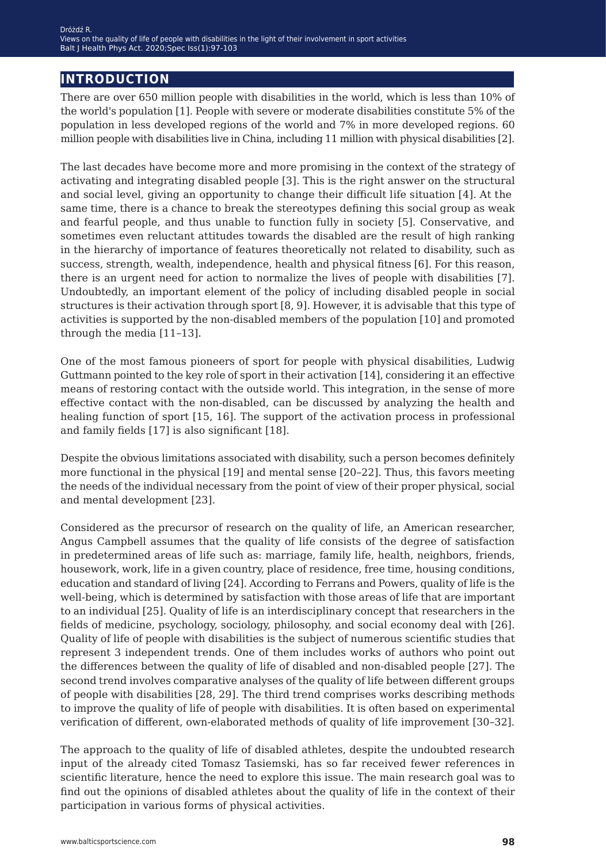# **introduction**

There are over 650 million people with disabilities in the world, which is less than 10% of the world's population [1]. People with severe or moderate disabilities constitute 5% of the population in less developed regions of the world and 7% in more developed regions. 60 million people with disabilities live in China, including 11 million with physical disabilities [2].

The last decades have become more and more promising in the context of the strategy of activating and integrating disabled people [3]. This is the right answer on the structural and social level, giving an opportunity to change their difficult life situation [4]. At the same time, there is a chance to break the stereotypes defining this social group as weak and fearful people, and thus unable to function fully in society [5]. Conservative, and sometimes even reluctant attitudes towards the disabled are the result of high ranking in the hierarchy of importance of features theoretically not related to disability, such as success, strength, wealth, independence, health and physical fitness [6]. For this reason, there is an urgent need for action to normalize the lives of people with disabilities [7]. Undoubtedly, an important element of the policy of including disabled people in social structures is their activation through sport [8, 9]. However, it is advisable that this type of activities is supported by the non-disabled members of the population [10] and promoted through the media [11*−*13].

One of the most famous pioneers of sport for people with physical disabilities, Ludwig Guttmann pointed to the key role of sport in their activation [14], considering it an effective means of restoring contact with the outside world. This integration, in the sense of more effective contact with the non-disabled, can be discussed by analyzing the health and healing function of sport [15, 16]. The support of the activation process in professional and family fields [17] is also significant [18].

Despite the obvious limitations associated with disability, such a person becomes definitely more functional in the physical [19] and mental sense [20*−*22]. Thus, this favors meeting the needs of the individual necessary from the point of view of their proper physical, social and mental development [23].

Considered as the precursor of research on the quality of life, an American researcher, Angus Campbell assumes that the quality of life consists of the degree of satisfaction in predetermined areas of life such as: marriage, family life, health, neighbors, friends, housework, work, life in a given country, place of residence, free time, housing conditions, education and standard of living  $[24]$ . According to Ferrans and Powers, quality of life is the well-being, which is determined by satisfaction with those areas of life that are important to an individual [25]. Quality of life is an interdisciplinary concept that researchers in the fields of medicine, psychology, sociology, philosophy, and social economy deal with [26]. Quality of life of people with disabilities is the subject of numerous scientific studies that represent 3 independent trends. One of them includes works of authors who point out the differences between the quality of life of disabled and non-disabled people [27]. The second trend involves comparative analyses of the quality of life between different groups of people with disabilities [28, 29]. The third trend comprises works describing methods to improve the quality of life of people with disabilities. It is often based on experimental verification of different, own-elaborated methods of quality of life improvement [30*−*32].

The approach to the quality of life of disabled athletes, despite the undoubted research input of the already cited Tomasz Tasiemski, has so far received fewer references in scientific literature, hence the need to explore this issue. The main research goal was to find out the opinions of disabled athletes about the quality of life in the context of their participation in various forms of physical activities.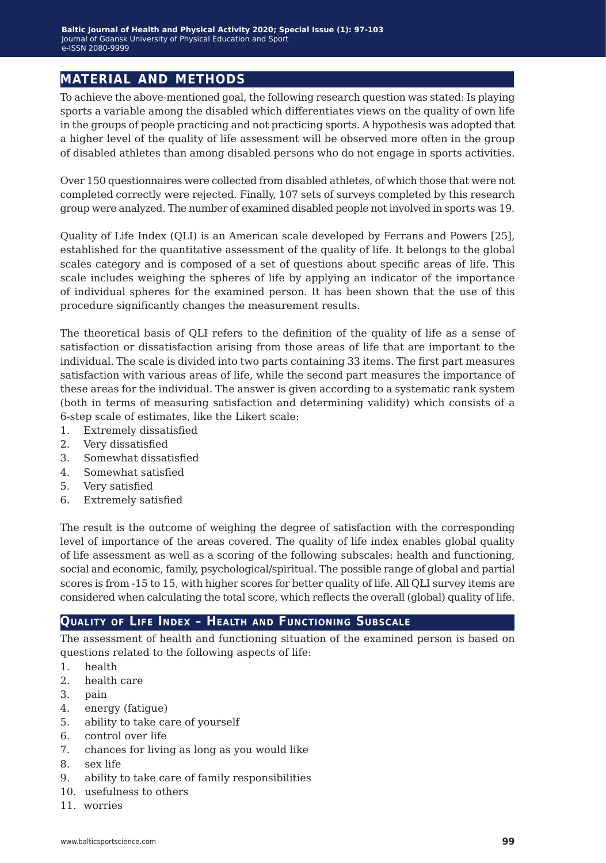# **material and methods**

To achieve the above-mentioned goal, the following research question was stated: Is playing sports a variable among the disabled which differentiates views on the quality of own life in the groups of people practicing and not practicing sports.A hypothesis was adopted that a higher level of the quality of life assessment will be observed more often in the group of disabled athletes than among disabled persons who do not engage in sports activities.

Over 150 questionnaires were collected from disabled athletes, of which those that were not completed correctly were rejected. Finally, 107 sets of surveys completed by this research group were analyzed. The number of examined disabled people not involved in sports was 19.

Quality of Life Index (QLI) is an American scale developed by Ferrans and Powers [25], established for the quantitative assessment of the quality of life. It belongs to the global scales category and is composed of a set of questions about specific areas of life. This scale includes weighing the spheres of life by applying an indicator of the importance of individual spheres for the examined person. It has been shown that the use of this procedure significantly changes the measurement results.

The theoretical basis of QLI refers to the definition of the quality of life as a sense of satisfaction or dissatisfaction arising from those areas of life that are important to the individual. The scale is divided into two parts containing 33 items. The first part measures satisfaction with various areas of life, while the second part measures the importance of these areas for the individual. The answer is given according to a systematic rank system (both in terms of measuring satisfaction and determining validity) which consists of a 6-step scale of estimates, like the Likert scale:

- 1. Extremely dissatisfied
- 2. Very dissatisfied
- 3. Somewhat dissatisfied
- 4. Somewhat satisfied
- 5. Very satisfied
- 6. Extremely satisfied

The result is the outcome of weighing the degree of satisfaction with the corresponding level of importance of the areas covered. The quality of life index enables global quality of life assessment as well as a scoring of the following subscales: health and functioning, social and economic, family, psychological/spiritual. The possible range of global and partial scores is from -15 to 15, with higher scores for better quality of life.All QLI survey items are considered when calculating the total score, which reflects the overall (global) quality of life.

### **Quality of Life Index – Health and Functioning Subscale**

The assessment of health and functioning situation of the examined person is based on questions related to the following aspects of life:

- 1. health
- 2. health care
- 3. pain
- 4. energy (fatigue)
- 5. ability to take care of yourself
- 6. control over life
- 7. chances for living as long as you would like
- 8. sex life
- 9. ability to take care of family responsibilities
- 10. usefulness to others
- 11. worries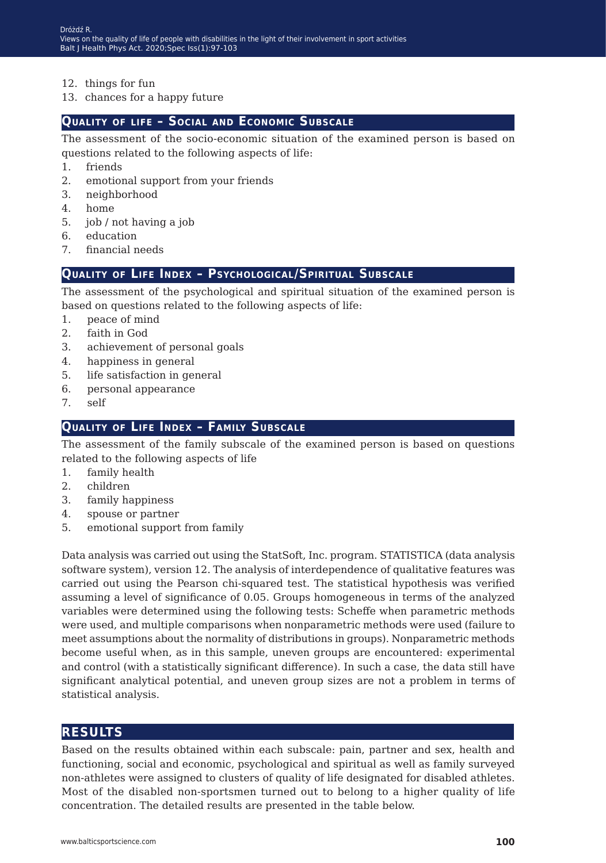- 12. things for fun
- 13. chances for a happy future

# **Quality of life – Social and Economic Subscale**

The assessment of the socio-economic situation of the examined person is based on questions related to the following aspects of life:

- 1. friends
- 2. emotional support from your friends
- 3. neighborhood
- 4. home
- 5. job / not having a job
- 6. education
- 7. financial needs

## **Quality of Life Index – Psychological/Spiritual Subscale**

The assessment of the psychological and spiritual situation of the examined person is based on questions related to the following aspects of life:

- 1. peace of mind
- 2. faith in God
- 3. achievement of personal goals
- 4. happiness in general
- 5. life satisfaction in general
- 6. personal appearance
- 7. self

### **Quality of Life Index – Family Subscale**

The assessment of the family subscale of the examined person is based on questions related to the following aspects of life

- 1. family health
- 2. children
- 3. family happiness
- 4. spouse or partner
- 5. emotional support from family

Data analysis was carried out using the StatSoft, Inc. program. STATISTICA (data analysis software system), version 12. The analysis of interdependence of qualitative features was carried out using the Pearson chi-squared test. The statistical hypothesis was verified assuming a level of significance of 0.05. Groups homogeneous in terms of the analyzed variables were determined using the following tests: Scheffe when parametric methods were used, and multiple comparisons when nonparametric methods were used (failure to meet assumptions about the normality of distributions in groups). Nonparametric methods become useful when, as in this sample, uneven groups are encountered: experimental and control (with a statistically significant difference). In such a case, the data still have significant analytical potential, and uneven group sizes are not a problem in terms of statistical analysis.

### **results**

Based on the results obtained within each subscale: pain, partner and sex, health and functioning, social and economic, psychological and spiritual as well as family surveyed non-athletes were assigned to clusters of quality of life designated for disabled athletes. Most of the disabled non-sportsmen turned out to belong to a higher quality of life concentration. The detailed results are presented in the table below.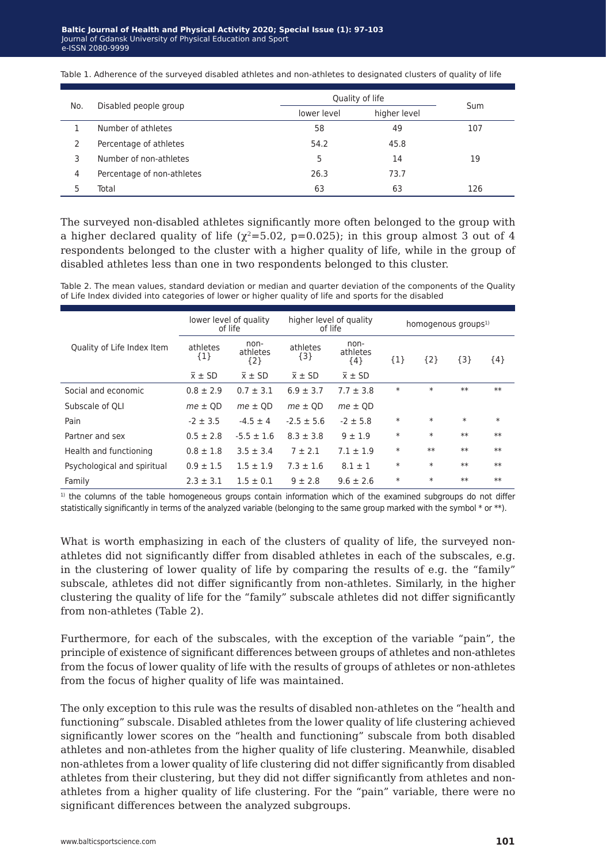|     |                            | Quality of life |              |     |
|-----|----------------------------|-----------------|--------------|-----|
| No. | Disabled people group      | lower level     | higher level | Sum |
|     | Number of athletes         | 58              | 49           | 107 |
|     | Percentage of athletes     | 54.2            | 45.8         |     |
| 3   | Number of non-athletes     | 5               | 14           | 19  |
| 4   | Percentage of non-athletes | 26.3            | 73.7         |     |
|     | Total                      | 63              | 63           | 126 |

Table 1. Adherence of the surveyed disabled athletes and non-athletes to designated clusters of quality of life

The surveyed non-disabled athletes significantly more often belonged to the group with a higher declared quality of life ( $\chi^2$ =5.02, p=0.025); in this group almost 3 out of 4 respondents belonged to the cluster with a higher quality of life, while in the group of disabled athletes less than one in two respondents belonged to this cluster.

Table 2. The mean values, standard deviation or median and quarter deviation of the components of the Quality of Life Index divided into categories of lower or higher quality of life and sports for the disabled

|                             | lower level of quality<br>of life |                           | higher level of quality<br>of life |                           | homogenous groups <sup>1)</sup> |        |         |        |
|-----------------------------|-----------------------------------|---------------------------|------------------------------------|---------------------------|---------------------------------|--------|---------|--------|
| Quality of Life Index Item  | athletes<br>${1}$                 | non-<br>athletes<br>${2}$ | athletes<br>${3}$                  | non-<br>athletes<br>${4}$ | ${1}$                           | ${2}$  | $\{3\}$ | ${4}$  |
|                             | $\overline{x}$ ± SD               | $\overline{x}$ ± SD       | $\overline{x}$ ± SD                | $\overline{x}$ ± SD       |                                 |        |         |        |
| Social and economic         | $0.8 \pm 2.9$                     | $0.7 \pm 3.1$             | $6.9 \pm 3.7$                      | $7.7 \pm 3.8$             | $\ast$                          | $\ast$ | $**$    | $**$   |
| Subscale of OLI             | $me \pm QD$                       | $me \pm OD$               | $me \pm OD$                        | $me \pm QD$               |                                 |        |         |        |
| Pain                        | $-2 \pm 3.5$                      | $-4.5 \pm 4$              | $-2.5 \pm 5.6$                     | $-2 \pm 5.8$              | $\ast$                          | $\ast$ | $\ast$  | $\ast$ |
| Partner and sex             | $0.5 \pm 2.8$                     | $-5.5 \pm 1.6$            | $8.3 \pm 3.8$                      | $9 \pm 1.9$               | $\ast$                          | $\ast$ | $**$    | $**$   |
| Health and functioning      | $0.8 \pm 1.8$                     | $3.5 \pm 3.4$             | $7 \pm 2.1$                        | $7.1 \pm 1.9$             | $\ast$                          | $**$   | $**$    | $**$   |
| Psychological and spiritual | $0.9 \pm 1.5$                     | $1.5 \pm 1.9$             | $7.3 \pm 1.6$                      | $8.1 \pm 1$               | $\ast$                          | $\ast$ | $**$    | $**$   |
| Family                      | $2.3 \pm 3.1$                     | $1.5 \pm 0.1$             | $9 \pm 2.8$                        | $9.6 \pm 2.6$             | $\ast$                          | $\ast$ | $**$    | $**$   |

<sup>1)</sup> the columns of the table homogeneous groups contain information which of the examined subgroups do not differ statistically significantly in terms of the analyzed variable (belonging to the same group marked with the symbol \* or \*\*).

What is worth emphasizing in each of the clusters of quality of life, the surveyed nonathletes did not significantly differ from disabled athletes in each of the subscales, e.g. in the clustering of lower quality of life by comparing the results of e.g. the "family" subscale, athletes did not differ significantly from non-athletes. Similarly, in the higher clustering the quality of life for the "family" subscale athletes did not differ significantly from non-athletes (Table 2).

Furthermore, for each of the subscales, with the exception of the variable "pain", the principle of existence of significant differences between groups of athletes and non-athletes from the focus of lower quality of life with the results of groups of athletes or non-athletes from the focus of higher quality of life was maintained.

The only exception to this rule was the results of disabled non-athletes on the "health and functioning" subscale. Disabled athletes from the lower quality of life clustering achieved significantly lower scores on the "health and functioning" subscale from both disabled athletes and non-athletes from the higher quality of life clustering. Meanwhile, disabled non-athletes from a lower quality of life clustering did not differ significantly from disabled athletes from their clustering, but they did not differ significantly from athletes and nonathletes from a higher quality of life clustering. For the "pain" variable, there were no significant differences between the analyzed subgroups.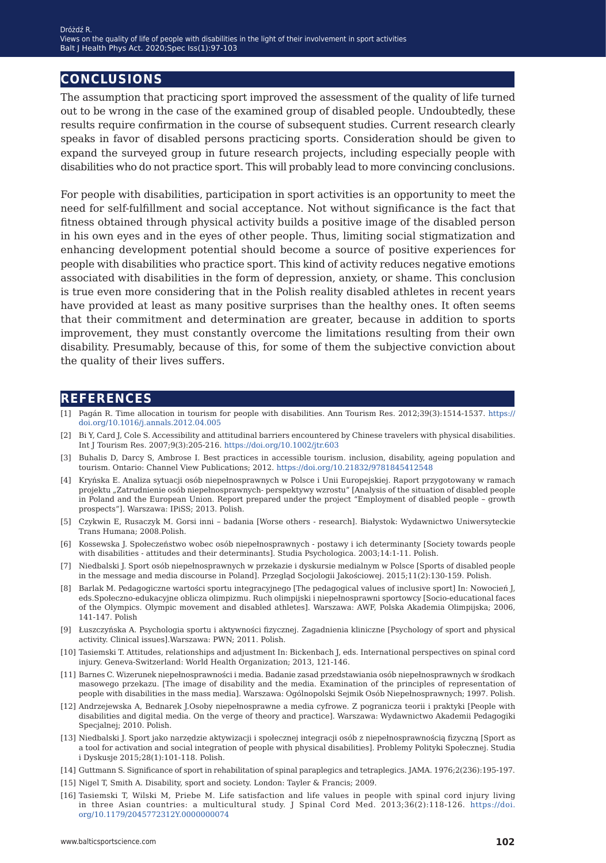# **conclusions**

The assumption that practicing sport improved the assessment of the quality of life turned out to be wrong in the case of the examined group of disabled people. Undoubtedly, these results require confirmation in the course of subsequent studies. Current research clearly speaks in favor of disabled persons practicing sports. Consideration should be given to expand the surveyed group in future research projects, including especially people with disabilities who do not practice sport. This will probably lead to more convincing conclusions.

For people with disabilities, participation in sport activities is an opportunity to meet the need for self-fulfillment and social acceptance. Not without significance is the fact that fitness obtained through physical activity builds a positive image of the disabled person in his own eyes and in the eyes of other people. Thus, limiting social stigmatization and enhancing development potential should become a source of positive experiences for people with disabilities who practice sport. This kind of activity reduces negative emotions associated with disabilities in the form of depression, anxiety, or shame. This conclusion is true even more considering that in the Polish reality disabled athletes in recent years have provided at least as many positive surprises than the healthy ones. It often seems that their commitment and determination are greater, because in addition to sports improvement, they must constantly overcome the limitations resulting from their own disability. Presumably, because of this, for some of them the subjective conviction about the quality of their lives suffers.

#### **references**

- [1] Pagán R. Time allocation in tourism for people with disabilities.Ann Tourism Res. 2012;39(3):1514-1537. [https://](https://doi.org/10.1016/j.annals.2012.04.005 ) [doi.org/10.1016/j.annals.2012.04.005](https://doi.org/10.1016/j.annals.2012.04.005 )
- [2] Bi Y, Card J, Cole S.Accessibility and attitudinal barriers encountered by Chinese travelers with physical disabilities. Int J Tourism Res. 2007;9(3):205-216. <https://doi.org/10.1002/jtr.603>
- [3] Buhalis D, Darcy S, Ambrose I. Best practices in accessible tourism. inclusion, disability, ageing population and tourism. Ontario: Channel View Publications; 2012. <https://doi.org/10.21832/9781845412548>
- [4] Kryńska E.Analiza sytuacji osób niepełnosprawnych w Polsce i Unii Europejskiej. Raport przygotowany w ramach projektu "Zatrudnienie osób niepełnosprawnych- perspektywy wzrostu" [Analysis of the situation of disabled people in Poland and the European Union. Report prepared under the project "Employment of disabled people – growth prospects"]. Warszawa: IPiSS; 2013. Polish.
- [5] Czykwin E, Rusaczyk M. Gorsi inni badania [Worse others research]. Białystok: Wydawnictwo Uniwersyteckie Trans Humana; 2008.Polish.
- [6] Kossewska J. Społeczeństwo wobec osób niepełnosprawnych postawy i ich determinanty [Society towards people with disabilities - attitudes and their determinants]. Studia Psychologica. 2003;14:1-11. Polish.
- [7] Niedbalski J. Sport osób niepełnosprawnych w przekazie i dyskursie medialnym w Polsce [Sports of disabled people in the message and media discourse in Poland]. Przegląd Socjologii Jakościowej. 2015;11(2):130-159. Polish.
- [8] Barlak M. Pedagogiczne wartości sportu integracyjnego [The pedagogical values of inclusive sport] In: Nowocień J, eds.Społeczno-edukacyjne oblicza olimpizmu. Ruch olimpijski i niepełnosprawni sportowcy [Socio-educational faces of the Olympics. Olympic movement and disabled athletes]. Warszawa: AWF, Polska Akademia Olimpijska; 2006, 141-147. Polish
- [9] Łuszczyńska A. Psychologia sportu i aktywności fizycznej. Zagadnienia kliniczne [Psychology of sport and physical activity. Clinical issues].Warszawa: PWN; 2011. Polish.
- [10] Tasiemski T.Attitudes, relationships and adjustment In: Bickenbach J, eds. International perspectives on spinal cord injury. Geneva-Switzerland: World Health Organization; 2013, 121-146.
- [11] Barnes C. Wizerunek niepełnosprawności i media. Badanie zasad przedstawiania osób niepełnosprawnych w środkach masowego przekazu. [The image of disability and the media. Examination of the principles of representation of people with disabilities in the mass media]. Warszawa: Ogólnopolski Sejmik Osób Niepełnosprawnych; 1997. Polish.
- [12]Andrzejewska A, Bednarek J.Osoby niepełnosprawne a media cyfrowe. Z pogranicza teorii i praktyki [People with disabilities and digital media. On the verge of theory and practice]. Warszawa: Wydawnictwo Akademii Pedagogiki Specjalnej; 2010. Polish.
- [13] Niedbalski J. Sport jako narzędzie aktywizacji i społecznej integracji osób z niepełnosprawnością fizyczną [Sport as a tool for activation and social integration of people with physical disabilities]. Problemy Polityki Społecznej. Studia i Dyskusje 2015;28(1):101-118. Polish.
- [14] Guttmann S. Significance of sport in rehabilitation of spinal paraplegics and tetraplegics. JAMA. 1976;2(236):195-197.
- [15] Nigel T, Smith A. Disability, sport and society. London: Tayler & Francis; 2009.
- [16] Tasiemski T, Wilski M, Priebe M. Life satisfaction and life values in people with spinal cord injury living in three Asian countries: a multicultural study. J Spinal Cord Med. 2013;36(2):118-126. [https://doi.](https://doi.org/10.1179/2045772312Y.0000000074 ) [org/10.1179/2045772312Y.0000000074](https://doi.org/10.1179/2045772312Y.0000000074 )